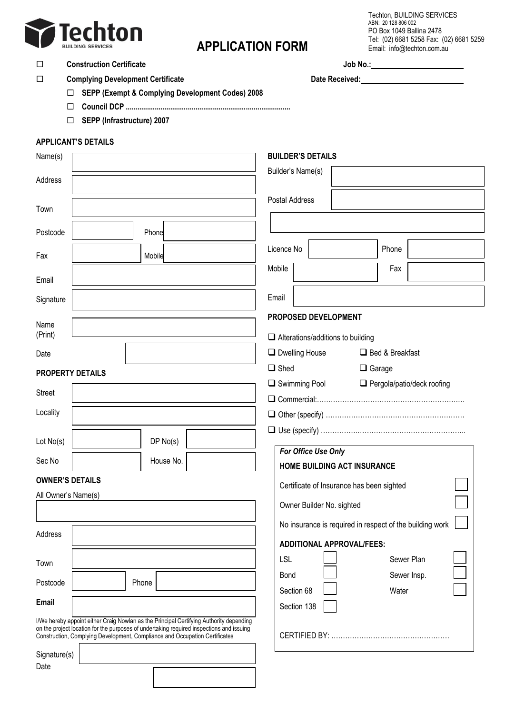

# **APPLICATION FORM**

Techton, BUILDING SERVICES ABN: 20 128 806 002 PO Box 1049 Ballina 2478 Tel: (02) 6681 5258 Fax: (02) 6681 5259 Email: info@techton.com.au

## **Construction Certificate Job No.:**

**Complying Development Certificate Date Received:**

**SEPP (Exempt & Complying Development Codes) 2008**

- **Council DCP .....................................................................................**
- **SEPP (Infrastructure) 2007**

## **APPLICANT'S DETAILS**

| Name(s)                                                                                                                                                                                                                                                            | <b>BUILDER'S DETAILS</b>                                     |
|--------------------------------------------------------------------------------------------------------------------------------------------------------------------------------------------------------------------------------------------------------------------|--------------------------------------------------------------|
| Address                                                                                                                                                                                                                                                            | Builder's Name(s)                                            |
| Town                                                                                                                                                                                                                                                               | Postal Address                                               |
| Postcode<br>Phone                                                                                                                                                                                                                                                  |                                                              |
| Fax<br>Mobile                                                                                                                                                                                                                                                      | Phone<br>Licence No                                          |
| Email                                                                                                                                                                                                                                                              | Mobile<br>Fax                                                |
| Signature                                                                                                                                                                                                                                                          | Email                                                        |
| Name                                                                                                                                                                                                                                                               | PROPOSED DEVELOPMENT                                         |
| (Print)                                                                                                                                                                                                                                                            | $\Box$ Alterations/additions to building                     |
| Date                                                                                                                                                                                                                                                               | $\Box$ Dwelling House<br>Bed & Breakfast                     |
| <b>PROPERTY DETAILS</b>                                                                                                                                                                                                                                            | $\Box$ Shed<br>$\Box$ Garage                                 |
| <b>Street</b>                                                                                                                                                                                                                                                      | $\Box$ Swimming Pool<br>$\Box$ Pergola/patio/deck roofing    |
| Locality                                                                                                                                                                                                                                                           |                                                              |
| DP No(s)<br>Lot No(s)                                                                                                                                                                                                                                              |                                                              |
| Sec No<br>House No.                                                                                                                                                                                                                                                | For Office Use Only<br>HOME BUILDING ACT INSURANCE           |
| <b>OWNER'S DETAILS</b>                                                                                                                                                                                                                                             |                                                              |
| All Owner's Name(s)                                                                                                                                                                                                                                                | Certificate of Insurance has been sighted                    |
|                                                                                                                                                                                                                                                                    | Owner Builder No. sighted                                    |
| Address                                                                                                                                                                                                                                                            | No insurance is required in respect of the building work     |
| Town                                                                                                                                                                                                                                                               | <b>ADDITIONAL APPROVAL/FEES:</b><br>Sewer Plan<br><b>LSL</b> |
|                                                                                                                                                                                                                                                                    | Sewer Insp.<br>Bond                                          |
| Postcode<br>Phone                                                                                                                                                                                                                                                  | Section 68<br>Water                                          |
| Email                                                                                                                                                                                                                                                              | Section 138                                                  |
| I/We hereby appoint either Craig Nowlan as the Principal Certifying Authority depending<br>on the project location for the purposes of undertaking required inspections and issuing<br>Construction, Complying Development, Compliance and Occupation Certificates |                                                              |
| Signature(s)                                                                                                                                                                                                                                                       |                                                              |
| Date                                                                                                                                                                                                                                                               |                                                              |